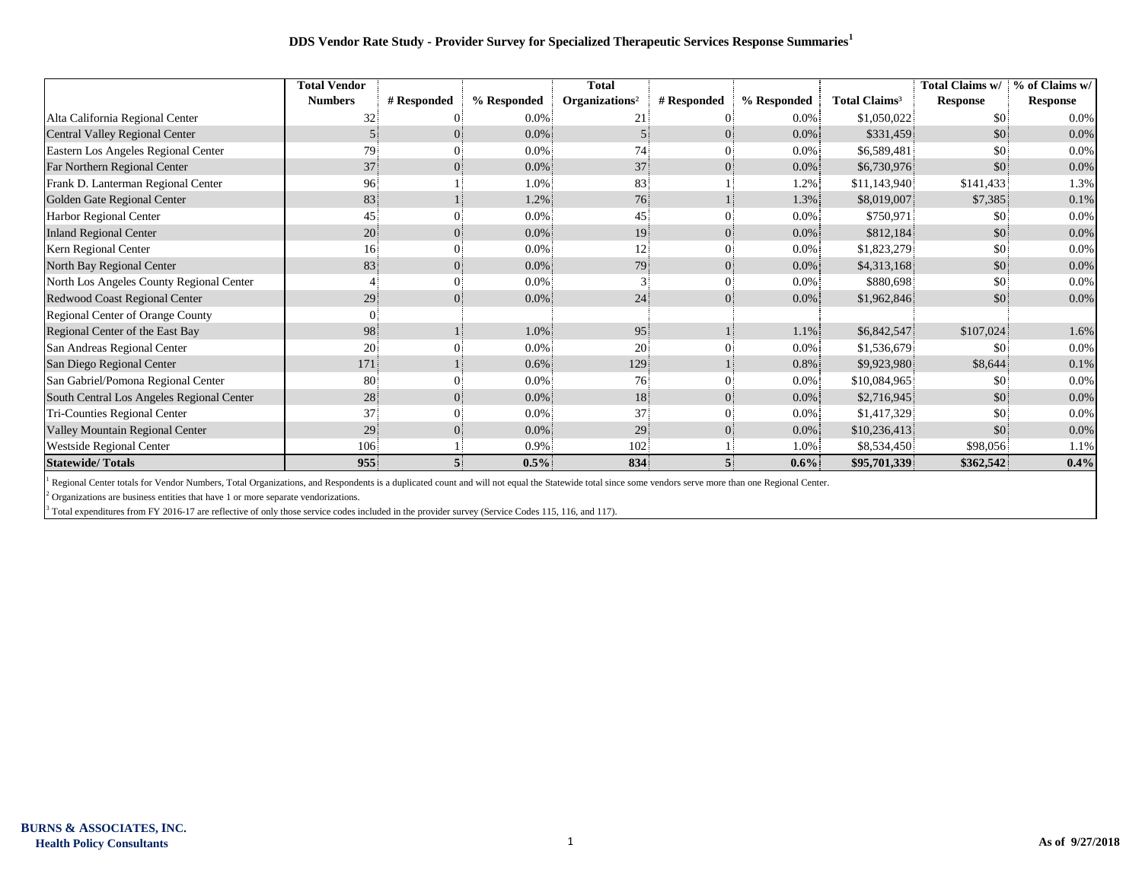## **DDS Vendor Rate Study - Provider Survey for Specialized Therapeutic Services Response Summaries<sup>1</sup>**

|                                           | <b>Total Vendor</b> |             |             | <b>Total</b>               |                         |             |                                 | Total Claims w/ | % of Claims w/  |
|-------------------------------------------|---------------------|-------------|-------------|----------------------------|-------------------------|-------------|---------------------------------|-----------------|-----------------|
|                                           | <b>Numbers</b>      | # Responded | % Responded | Organizations <sup>2</sup> | # Responded             | % Responded | <b>Total Claims<sup>3</sup></b> | Response        | <b>Response</b> |
| Alta California Regional Center           | 32                  |             | 0.0%        | 21                         |                         | 0.0%        | \$1,050,022                     | \$0             | 0.0%            |
| Central Valley Regional Center            |                     |             | $0.0\%$     |                            | $\Omega$                | $0.0\%$     | \$331,459                       | \$0             | 0.0%            |
| Eastern Los Angeles Regional Center       | 79.                 |             | $0.0\%$     | 74                         |                         | $0.0\%$     | \$6,589,481                     | \$0             | 0.0%            |
| Far Northern Regional Center              | 37                  |             | $0.0\%$     | 37                         | $\Omega$                | $0.0\%$     | \$6,730,976                     | \$0             | 0.0%            |
| Frank D. Lanterman Regional Center        | 96                  |             | 1.0%        | 83                         |                         | 1.2%        | \$11,143,940                    | \$141,433       | 1.3%            |
| Golden Gate Regional Center               | 83                  |             | 1.2%        | 76                         |                         | 1.3%        | \$8,019,007                     | \$7,385         | 0.1%            |
| Harbor Regional Center                    | 45                  |             | $0.0\%$     | 45                         | 0                       | $0.0\%$     | \$750,971                       | \$0             | 0.0%            |
| <b>Inland Regional Center</b>             | 20                  |             | $0.0\%$     | 19 <sup>°</sup>            | $\Omega$                | $0.0\%$     | \$812,184                       | \$0             | 0.0%            |
| Kern Regional Center                      | 16                  |             | $0.0\%$     | 12                         | $\Omega$                | $0.0\%$     | \$1,823,279                     | \$0             | 0.0%            |
| North Bay Regional Center                 | 83                  |             | $0.0\%$     | 79                         | $\Omega$                | $0.0\%$     | \$4,313,168                     | \$0             | 0.0%            |
| North Los Angeles County Regional Center  |                     |             | $0.0\%$     | 3                          | $\Omega$                | $0.0\%$     | \$880,698                       | \$0             | 0.0%            |
| Redwood Coast Regional Center             | 29                  |             | $0.0\%$     | 24                         | $\Omega$                | $0.0\%$     | \$1,962,846                     | \$0             | 0.0%            |
| Regional Center of Orange County          |                     |             |             |                            |                         |             |                                 |                 |                 |
| Regional Center of the East Bay           | 98                  |             | 1.0%        | 95                         |                         | 1.1%        | \$6,842,547                     | \$107,024       | 1.6%            |
| San Andreas Regional Center               | 20                  |             | 0.0%        | 20                         |                         | $0.0\%$     | \$1,536,679                     | <b>SO</b>       | 0.0%            |
| San Diego Regional Center                 | 171                 |             | $0.6\%$     | 129                        |                         | 0.8%        | \$9,923,980                     | \$8,644         | 0.1%            |
| San Gabriel/Pomona Regional Center        | 80                  |             | $0.0\%$     | 76                         | $\Omega$                | $0.0\%$     | \$10,084,965                    | \$0.            | 0.0%            |
| South Central Los Angeles Regional Center | 28                  |             | $0.0\%$     | 18                         | $\overline{0}$          | $0.0\%$     | \$2,716,945                     | \$0             | 0.0%            |
| Tri-Counties Regional Center              | 37                  |             | $0.0\%$     | 37                         |                         | $0.0\%$     | \$1,417,329                     | \$0             | 0.0%            |
| Valley Mountain Regional Center           | 29                  |             | $0.0\%$     | 29                         | $\Omega$                | $0.0\%$     | \$10,236,413                    | \$0             | 0.0%            |
| Westside Regional Center                  | 106                 |             | 0.9%        | 102                        |                         | 1.0%        | \$8,534,450                     | \$98,056        | 1.1%            |
| <b>Statewide/Totals</b>                   | 955                 |             | 0.5%        | 834                        | $\overline{\mathbf{5}}$ | $0.6\%$     | \$95,701,339                    | \$362,542       | 0.4%            |

<sup>1</sup> Regional Center totals for Vendor Numbers, Total Organizations, and Respondents is a duplicated count and will not equal the Statewide total since some vendors serve more than one Regional Center.

 $2$  Organizations are business entities that have 1 or more separate vendorizations.

 $3$  Total expenditures from FY 2016-17 are reflective of only those service codes included in the provider survey (Service Codes 115, 116, and 117).